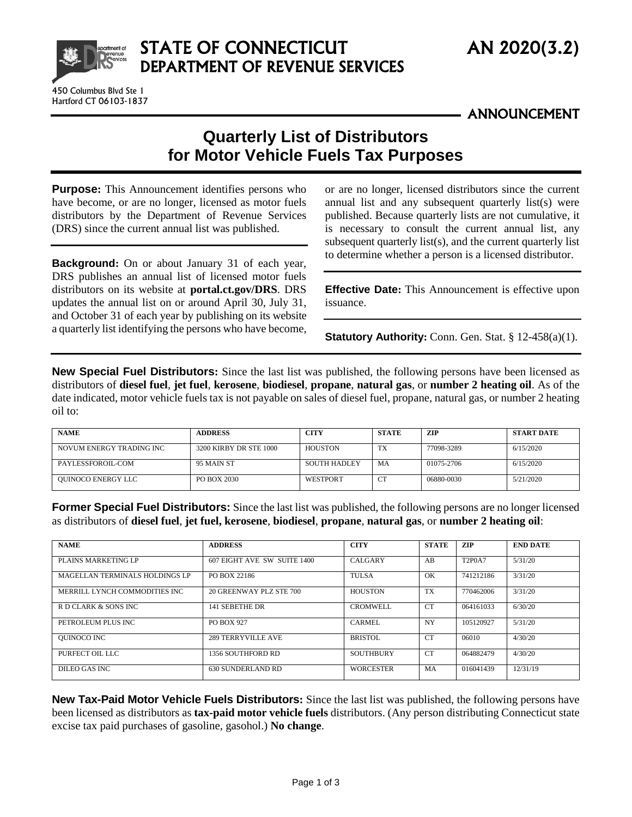

Hartford CT 06103-1837

## STATE OF CONNECTICUT AN 2020(3.2) DEPARTMENT OF REVENUE SERVICES

ANNOUNCEMENT

## **Quarterly List of Distributors for Motor Vehicle Fuels Tax Purposes**

**Purpose:** This Announcement identifies persons who have become, or are no longer, licensed as motor fuels distributors by the Department of Revenue Services (DRS) since the current annual list was published.

**Background:** On or about January 31 of each year, DRS publishes an annual list of licensed motor fuels distributors on its website at **[portal.ct.gov/DRS](https://portal.ct.gov/DRS)**. DRS updates the annual list on or around April 30, July 31, and October 31 of each year by publishing on its website a quarterly list identifying the persons who have become, or are no longer, licensed distributors since the current annual list and any subsequent quarterly list(s) were published. Because quarterly lists are not cumulative, it is necessary to consult the current annual list, any subsequent quarterly list(s), and the current quarterly list to determine whether a person is a licensed distributor.

**Effective Date:** This Announcement is effective upon issuance.

**Statutory Authority:** Conn. Gen. Stat. § 12-458(a)(1).

**New Special Fuel Distributors:** Since the last list was published, the following persons have been licensed as distributors of **diesel fuel**, **jet fuel**, **kerosene**, **biodiesel**, **propane**, **natural gas**, or **number 2 heating oil**. As of the date indicated, motor vehicle fuels tax is not payable on sales of diesel fuel, propane, natural gas, or number 2 heating oil to:

| <b>NAME</b>              | <b>ADDRESS</b>         | <b>CITY</b>         | <b>STATE</b>    | ZIP        | START DATE |
|--------------------------|------------------------|---------------------|-----------------|------------|------------|
| NOVUM ENERGY TRADING INC | 3200 KIRBY DR STE 1000 | HOUSTON             | TX              | 77098-3289 | 6/15/2020  |
| PAYLESSFOROIL-COM        | 95 MAIN ST             | <b>SOUTH HADLEY</b> | MA              | 01075-2706 | 6/15/2020  |
| OUINOCO ENERGY LLC       | PO BOX 2030            | WESTPORT            | $\sqrt{2}$<br>◡ | 06880-0030 | 5/21/2020  |

**Former Special Fuel Distributors:** Since the last list was published, the following persons are no longer licensed as distributors of **diesel fuel**, **jet fuel, kerosene**, **biodiesel**, **propane**, **natural gas**, or **number 2 heating oil**:

| <b>NAME</b>                    | <b>ADDRESS</b>              | <b>CITY</b>      | <b>STATE</b>    | <b>ZIP</b>    | <b>END DATE</b> |
|--------------------------------|-----------------------------|------------------|-----------------|---------------|-----------------|
| PLAINS MARKETING LP            | 607 EIGHT AVE SW SUITE 1400 | <b>CALGARY</b>   | AB              | <b>T2P0A7</b> | 5/31/20         |
| MAGELLAN TERMINALS HOLDINGS LP | PO BOX 22186                | <b>TULSA</b>     | OK              | 741212186     | 3/31/20         |
| MERRILL LYNCH COMMODITIES INC  | 20 GREENWAY PLZ STE 700     | <b>HOUSTON</b>   | <b>TX</b>       | 770462006     | 3/31/20         |
| R D CLARK & SONS INC           | 141 SEBETHE DR              | <b>CROMWELL</b>  | <b>CT</b>       | 064161033     | 6/30/20         |
| PETROLEUM PLUS INC             | <b>PO BOX 927</b>           | CARMEL           | <b>NY</b>       | 105120927     | 5/31/20         |
| <b>OUINOCO INC</b>             | 289 TERRYVILLE AVE          | BRISTOL          | CT <sub>1</sub> | 06010         | 4/30/20         |
| PURFECT OIL LLC                | 1356 SOUTHFORD RD           | <b>SOUTHBURY</b> | CT <sub>1</sub> | 064882479     | 4/30/20         |
| DILEO GAS INC                  | 630 SUNDERLAND RD           | <b>WORCESTER</b> | MA              | 016041439     | 12/31/19        |

**New Tax-Paid Motor Vehicle Fuels Distributors:** Since the last list was published, the following persons have been licensed as distributors as **tax-paid motor vehicle fuels** distributors. (Any person distributing Connecticut state excise tax paid purchases of gasoline, gasohol.) **No change**.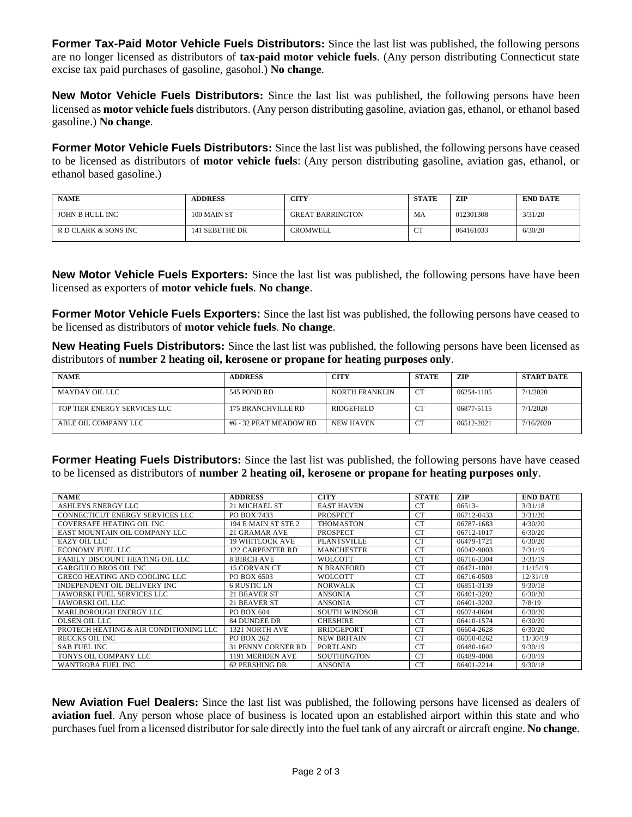**Former Tax-Paid Motor Vehicle Fuels Distributors:** Since the last list was published, the following persons are no longer licensed as distributors of **tax-paid motor vehicle fuels**. (Any person distributing Connecticut state excise tax paid purchases of gasoline, gasohol.) **No change**.

**New Motor Vehicle Fuels Distributors:** Since the last list was published, the following persons have been licensed as **motor vehicle fuels** distributors. (Any person distributing gasoline, aviation gas, ethanol, or ethanol based gasoline.) **No change**.

**Former Motor Vehicle Fuels Distributors:** Since the last list was published, the following persons have ceased to be licensed as distributors of **motor vehicle fuels**: (Any person distributing gasoline, aviation gas, ethanol, or ethanol based gasoline.)

| <b>NAME</b>          | <b>ADDRESS</b> | <b>CITY</b>             | <b>STATE</b> | <b>ZIP</b> | <b>END DATE</b> |
|----------------------|----------------|-------------------------|--------------|------------|-----------------|
| JOHN B HULL INC      | 100 MAIN ST    | <b>GREAT BARRINGTON</b> | МA           | 012301308  | 3/31/20         |
| R D CLARK & SONS INC | 141 SEBETHE DR | <b>CROMWELL</b>         | $\sim$<br>◡  | 064161033  | 6/30/20         |

**New Motor Vehicle Fuels Exporters:** Since the last list was published, the following persons have have been licensed as exporters of **motor vehicle fuels**. **No change**.

**Former Motor Vehicle Fuels Exporters:** Since the last list was published, the following persons have ceased to be licensed as distributors of **motor vehicle fuels**. **No change**.

**New Heating Fuels Distributors:** Since the last list was published, the following persons have been licensed as distributors of **number 2 heating oil, kerosene or propane for heating purposes only**.

| <b>NAME</b>                  | <b>ADDRESS</b>         | <b>CITY</b>    | <b>STATE</b>           | ZIP        | <b>START DATE</b> |
|------------------------------|------------------------|----------------|------------------------|------------|-------------------|
| MAYDAY OIL LLC               | 545 POND RD            | NORTH FRANKLIN | <b>CT</b>              | 06254-1105 | 7/1/2020          |
| TOP TIER ENERGY SERVICES LLC | 175 BRANCHVILLE RD     | RIDGEFIELD     | . Us                   | 06877-5115 | 7/1/2020          |
| ABLE OIL COMPANY LLC         | #6 - 32 PEAT MEADOW RD | NEW HAVEN      | $C^{\mathrm{TP}}$<br>◡ | 06512-2021 | 7/16/2020         |

**Former Heating Fuels Distributors:** Since the last list was published, the following persons have have ceased to be licensed as distributors of **number 2 heating oil, kerosene or propane for heating purposes only**.

| <b>NAME</b>                            | <b>ADDRESS</b>            | <b>CITY</b>          | <b>STATE</b>    | <b>ZIP</b> | <b>END DATE</b> |
|----------------------------------------|---------------------------|----------------------|-----------------|------------|-----------------|
| ASHLEYS ENERGY LLC                     | 21 MICHAEL ST             | <b>EAST HAVEN</b>    | CT.             | 06513-     | 3/31/18         |
| CONNECTICUT ENERGY SERVICES LLC        | PO BOX 7433               | <b>PROSPECT</b>      | CT.             | 06712-0433 | 3/31/20         |
| COVERSAFE HEATING OIL INC              | 194 E MAIN ST STE 2       | <b>THOMASTON</b>     | <b>CT</b>       | 06787-1683 | 4/30/20         |
| EAST MOUNTAIN OIL COMPANY LLC          | 21 GRAMAR AVE             | PROSPECT             | <b>CT</b>       | 06712-1017 | 6/30/20         |
| EAZY OIL LLC                           | <b>19 WHITLOCK AVE</b>    | <b>PLANTSVILLE</b>   | CT.             | 06479-1721 | 6/30/20         |
| ECONOMY FUEL LLC                       | 122 CARPENTER RD          | <b>MANCHESTER</b>    | <b>CT</b>       | 06042-9003 | 7/31/19         |
| FAMILY DISCOUNT HEATING OIL LLC        | <b>8 BIRCH AVE</b>        | <b>WOLCOTT</b>       | CT.             | 06716-3304 | 3/31/19         |
| <b>GARGIULO BROS OIL INC</b>           | 15 CORVAN CT              | <b>N BRANFORD</b>    | <b>CT</b>       | 06471-1801 | 11/15/19        |
| <b>GRECO HEATING AND COOLING LLC</b>   | PO BOX 6503               | <b>WOLCOTT</b>       | <b>CT</b>       | 06716-0503 | 12/31/19        |
| INDEPENDENT OIL DELIVERY INC.          | <b>6 RUSTIC LN</b>        | <b>NORWALK</b>       | <b>CT</b>       | 06851-3139 | 9/30/18         |
| JAWORSKI FUEL SERVICES LLC             | 21 BEAVER ST              | <b>ANSONIA</b>       | <b>CT</b>       | 06401-3202 | 6/30/20         |
| JAWORSKI OIL LLC                       | 21 BEAVER ST              | <b>ANSONIA</b>       | <b>CT</b>       | 06401-3202 | 7/8/19          |
| MARLBOROUGH ENERGY LLC                 | PO BOX 604                | <b>SOUTH WINDSOR</b> | <b>CT</b>       | 06074-0604 | 6/30/20         |
| OLSEN OIL LLC                          | <b>84 DUNDEE DR</b>       | <b>CHESHIRE</b>      | <b>CT</b>       | 06410-1574 | 6/30/20         |
| PROTECH HEATING & AIR CONDITIONING LLC | 1321 NORTH AVE            | <b>BRIDGEPORT</b>    | CT <sup>-</sup> | 06604-2628 | 6/30/20         |
| RECCKS OIL INC                         | PO BOX 262                | <b>NEW BRITAIN</b>   | CT.             | 06050-0262 | 11/30/19        |
| <b>SAB FUEL INC</b>                    | <b>31 PENNY CORNER RD</b> | PORTLAND             | CT.             | 06480-1642 | 9/30/19         |
| TONYS OIL COMPANY LLC                  | 1191 MERIDEN AVE          | <b>SOUTHINGTON</b>   | <b>CT</b>       | 06489-4008 | 6/30/19         |
| <b>WANTROBA FUEL INC</b>               | 62 PERSHING DR            | <b>ANSONIA</b>       | <b>CT</b>       | 06401-2214 | 9/30/18         |

**New Aviation Fuel Dealers:** Since the last list was published, the following persons have licensed as dealers of **aviation fuel**. Any person whose place of business is located upon an established airport within this state and who purchases fuel from a licensed distributor for sale directly into the fuel tank of any aircraft or aircraft engine. **No change**.